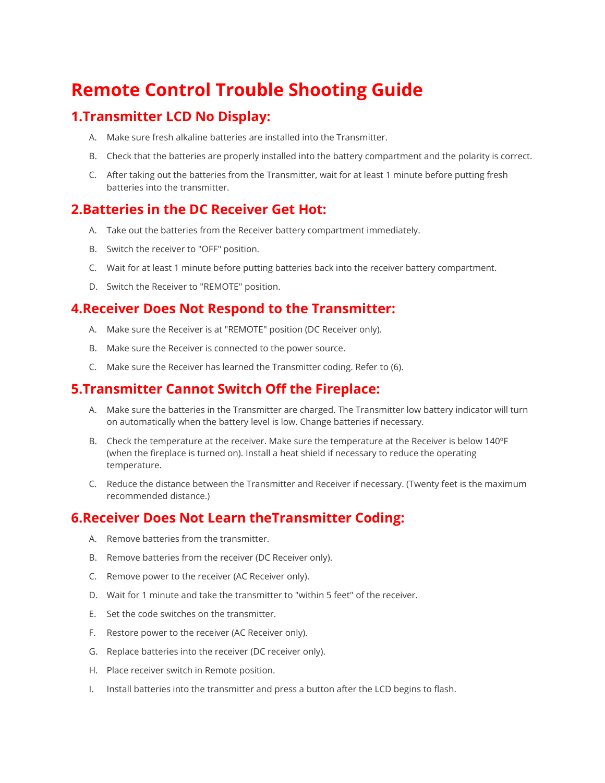# **Remote Control Trouble Shooting Guide**

## **1.Transmitter LCD No Display:**

- A. Make sure fresh alkaline batteries are installed into the Transmitter.
- B. Check that the batteries are properly installed into the battery compartment and the polarity is correct.
- C. After taking out the batteries from the Transmitter, wait for at least 1 minute before putting fresh batteries into the transmitter.

## **2.Batteries in the DC Receiver Get Hot:**

- A. Take out the batteries from the Receiver battery compartment immediately.
- B. Switch the receiver to "OFF" position.
- C. Wait for at least 1 minute before putting batteries back into the receiver battery compartment.
- D. Switch the Receiver to "REMOTE" position.

## **4.Receiver Does Not Respond to the Transmitter:**

- A. Make sure the Receiver is at "REMOTE" position (DC Receiver only).
- B. Make sure the Receiver is connected to the power source.
- C. Make sure the Receiver has learned the Transmitter coding. Refer to (6).

#### **5.Transmitter Cannot Switch Off the Fireplace:**

- A. Make sure the batteries in the Transmitter are charged. The Transmitter low battery indicator will turn on automatically when the battery level is low. Change batteries if necessary.
- B. Check the temperature at the receiver. Make sure the temperature at the Receiver is below 140ºF (when the fireplace is turned on). Install a heat shield if necessary to reduce the operating temperature.
- C. Reduce the distance between the Transmitter and Receiver if necessary. (Twenty feet is the maximum recommended distance.)

## **6.Receiver Does Not Learn theTransmitter Coding:**

- A. Remove batteries from the transmitter.
- B. Remove batteries from the receiver (DC Receiver only).
- C. Remove power to the receiver (AC Receiver only).
- D. Wait for 1 minute and take the transmitter to "within 5 feet" of the receiver.
- E. Set the code switches on the transmitter.
- F. Restore power to the receiver (AC Receiver only).
- G. Replace batteries into the receiver (DC receiver only).
- H. Place receiver switch in Remote position.
- I. Install batteries into the transmitter and press a button after the LCD begins to flash.